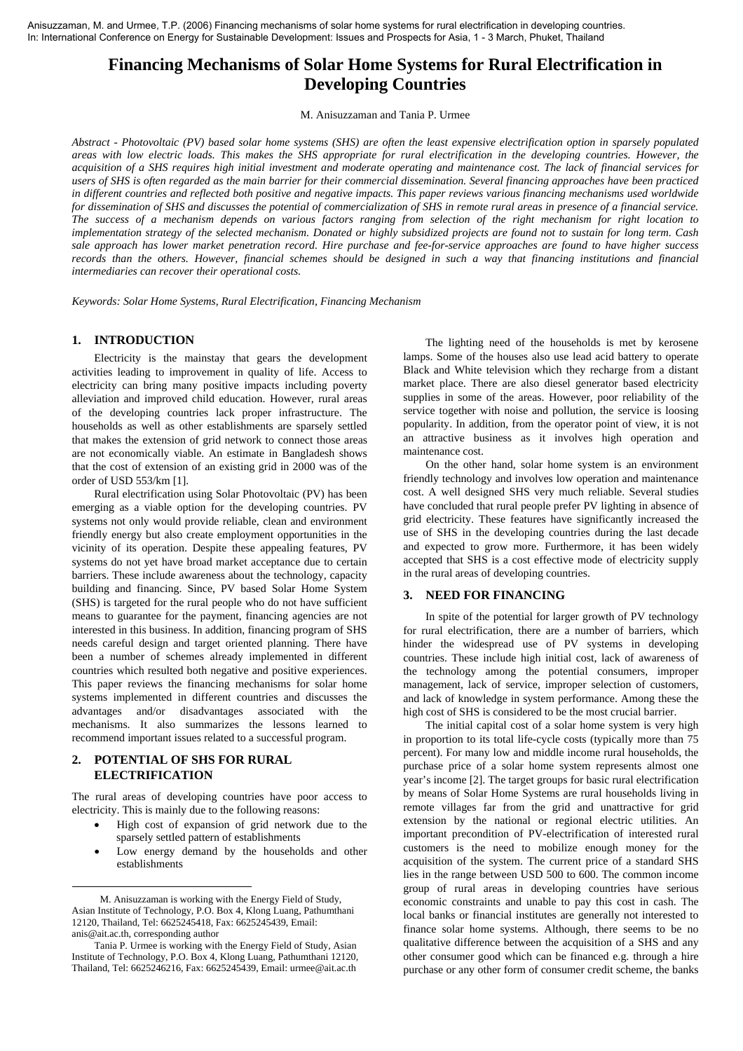# **Financing Mechanisms of Solar Home Systems for Rural Electrification in Developing Countries**

M. Anisuzzaman and Tania P. Urmee

*Abstract - Photovoltaic (PV) based solar home systems (SHS) are often the least expensive electrification option in sparsely populated areas with low electric loads. This makes the SHS appropriate for rural electrification in the developing countries. However, the acquisition of a SHS requires high initial investment and moderate operating and maintenance cost. The lack of financial services for users of SHS is often regarded as the main barrier for their commercial dissemination. Several financing approaches have been practiced in different countries and reflected both positive and negative impacts. This paper reviews various financing mechanisms used worldwide for dissemination of SHS and discusses the potential of commercialization of SHS in remote rural areas in presence of a financial service. The success of a mechanism depends on various factors ranging from selection of the right mechanism for right location to implementation strategy of the selected mechanism. Donated or highly subsidized projects are found not to sustain for long term. Cash sale approach has lower market penetration record. Hire purchase and fee-for-service approaches are found to have higher success records than the others. However, financial schemes should be designed in such a way that financing institutions and financial intermediaries can recover their operational costs.* 

*Keywords: Solar Home Systems, Rural Electrification, Financing Mechanism* 

# **1. INTRODUCTION**

Electricity is the mainstay that gears the development activities leading to improvement in quality of life. Access to electricity can bring many positive impacts including poverty alleviation and improved child education. However, rural areas of the developing countries lack proper infrastructure. The households as well as other establishments are sparsely settled that makes the extension of grid network to connect those areas are not economically viable. An estimate in Bangladesh shows that the cost of extension of an existing grid in 2000 was of the order of USD 553/km [1].

Rural electrification using Solar Photovoltaic (PV) has been emerging as a viable option for the developing countries. PV systems not only would provide reliable, clean and environment friendly energy but also create employment opportunities in the vicinity of its operation. Despite these appealing features, PV systems do not yet have broad market acceptance due to certain barriers. These include awareness about the technology, capacity building and financing. Since, PV based Solar Home System (SHS) is targeted for the rural people who do not have sufficient means to guarantee for the payment, financing agencies are not interested in this business. In addition, financing program of SHS needs careful design and target oriented planning. There have been a number of schemes already implemented in different countries which resulted both negative and positive experiences. This paper reviews the financing mechanisms for solar home systems implemented in different countries and discusses the advantages and/or disadvantages associated with the mechanisms. It also summarizes the lessons learned to recommend important issues related to a successful program.

# **2. POTENTIAL OF SHS FOR RURAL ELECTRIFICATION**

The rural areas of developing countries have poor access to electricity. This is mainly due to the following reasons:

- High cost of expansion of grid network due to the sparsely settled pattern of establishments
- Low energy demand by the households and other establishments

The lighting need of the households is met by kerosene lamps. Some of the houses also use lead acid battery to operate Black and White television which they recharge from a distant market place. There are also diesel generator based electricity supplies in some of the areas. However, poor reliability of the service together with noise and pollution, the service is loosing popularity. In addition, from the operator point of view, it is not an attractive business as it involves high operation and maintenance cost.

On the other hand, solar home system is an environment friendly technology and involves low operation and maintenance cost. A well designed SHS very much reliable. Several studies have concluded that rural people prefer PV lighting in absence of grid electricity. These features have significantly increased the use of SHS in the developing countries during the last decade and expected to grow more. Furthermore, it has been widely accepted that SHS is a cost effective mode of electricity supply in the rural areas of developing countries.

# **3. NEED FOR FINANCING**

In spite of the potential for larger growth of PV technology for rural electrification, there are a number of barriers, which hinder the widespread use of PV systems in developing countries. These include high initial cost, lack of awareness of the technology among the potential consumers, improper management, lack of service, improper selection of customers, and lack of knowledge in system performance. Among these the high cost of SHS is considered to be the most crucial barrier.

The initial capital cost of a solar home system is very high in proportion to its total life-cycle costs (typically more than 75 percent). For many low and middle income rural households, the purchase price of a solar home system represents almost one year's income [2]. The target groups for basic rural electrification by means of Solar Home Systems are rural households living in remote villages far from the grid and unattractive for grid extension by the national or regional electric utilities. An important precondition of PV-electrification of interested rural customers is the need to mobilize enough money for the acquisition of the system. The current price of a standard SHS lies in the range between USD 500 to 600. The common income group of rural areas in developing countries have serious economic constraints and unable to pay this cost in cash. The local banks or financial institutes are generally not interested to finance solar home systems. Although, there seems to be no qualitative difference between the acquisition of a SHS and any other consumer good which can be financed e.g. through a hire purchase or any other form of consumer credit scheme, the banks

 <sup>1</sup> M. Anisuzzaman is working with the Energy Field of Study, Asian Institute of Technology, P.O. Box 4, Klong Luang, Pathumthani 12120, Thailand, Tel: 6625245418, Fax: 6625245439, Email: anis@ait.ac.th, corresponding author

Tania P. Urmee is working with the Energy Field of Study, Asian Institute of Technology, P.O. Box 4, Klong Luang, Pathumthani 12120, Thailand, Tel: 6625246216, Fax: 6625245439, Email: urmee@ait.ac.th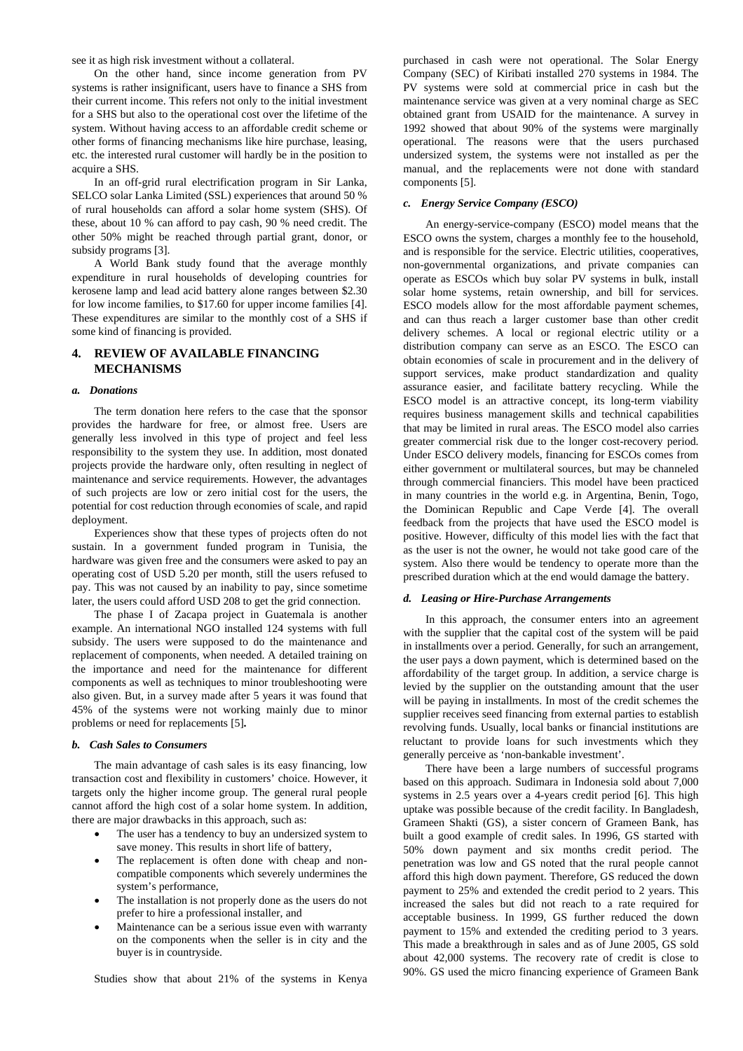see it as high risk investment without a collateral.

On the other hand, since income generation from PV systems is rather insignificant, users have to finance a SHS from their current income. This refers not only to the initial investment for a SHS but also to the operational cost over the lifetime of the system. Without having access to an affordable credit scheme or other forms of financing mechanisms like hire purchase, leasing, etc. the interested rural customer will hardly be in the position to acquire a SHS.

In an off-grid rural electrification program in Sir Lanka, SELCO solar Lanka Limited (SSL) experiences that around 50 % of rural households can afford a solar home system (SHS). Of these, about 10 % can afford to pay cash, 90 % need credit. The other 50% might be reached through partial grant, donor, or subsidy programs [3].

A World Bank study found that the average monthly expenditure in rural households of developing countries for kerosene lamp and lead acid battery alone ranges between \$2.30 for low income families, to \$17.60 for upper income families [4]. These expenditures are similar to the monthly cost of a SHS if some kind of financing is provided.

## **4. REVIEW OF AVAILABLE FINANCING MECHANISMS**

#### *a. Donations*

The term donation here refers to the case that the sponsor provides the hardware for free, or almost free. Users are generally less involved in this type of project and feel less responsibility to the system they use. In addition, most donated projects provide the hardware only, often resulting in neglect of maintenance and service requirements. However, the advantages of such projects are low or zero initial cost for the users, the potential for cost reduction through economies of scale, and rapid deployment.

Experiences show that these types of projects often do not sustain. In a government funded program in Tunisia, the hardware was given free and the consumers were asked to pay an operating cost of USD 5.20 per month, still the users refused to pay. This was not caused by an inability to pay, since sometime later, the users could afford USD 208 to get the grid connection.

The phase I of Zacapa project in Guatemala is another example. An international NGO installed 124 systems with full subsidy. The users were supposed to do the maintenance and replacement of components, when needed. A detailed training on the importance and need for the maintenance for different components as well as techniques to minor troubleshooting were also given. But, in a survey made after 5 years it was found that 45% of the systems were not working mainly due to minor problems or need for replacements [5]**.** 

#### *b. Cash Sales to Consumers*

The main advantage of cash sales is its easy financing, low transaction cost and flexibility in customers' choice. However, it targets only the higher income group. The general rural people cannot afford the high cost of a solar home system. In addition, there are major drawbacks in this approach, such as:

- The user has a tendency to buy an undersized system to save money. This results in short life of battery,
- The replacement is often done with cheap and noncompatible components which severely undermines the system's performance,
- The installation is not properly done as the users do not prefer to hire a professional installer, and
- Maintenance can be a serious issue even with warranty on the components when the seller is in city and the buyer is in countryside.

Studies show that about 21% of the systems in Kenya

purchased in cash were not operational. The Solar Energy Company (SEC) of Kiribati installed 270 systems in 1984. The PV systems were sold at commercial price in cash but the maintenance service was given at a very nominal charge as SEC obtained grant from USAID for the maintenance. A survey in 1992 showed that about 90% of the systems were marginally operational. The reasons were that the users purchased undersized system, the systems were not installed as per the manual, and the replacements were not done with standard components [5].

## *c. Energy Service Company (ESCO)*

An energy-service-company (ESCO) model means that the ESCO owns the system, charges a monthly fee to the household, and is responsible for the service. Electric utilities, cooperatives, non-governmental organizations, and private companies can operate as ESCOs which buy solar PV systems in bulk, install solar home systems, retain ownership, and bill for services. ESCO models allow for the most affordable payment schemes, and can thus reach a larger customer base than other credit delivery schemes. A local or regional electric utility or a distribution company can serve as an ESCO. The ESCO can obtain economies of scale in procurement and in the delivery of support services, make product standardization and quality assurance easier, and facilitate battery recycling. While the ESCO model is an attractive concept, its long-term viability requires business management skills and technical capabilities that may be limited in rural areas. The ESCO model also carries greater commercial risk due to the longer cost-recovery period. Under ESCO delivery models, financing for ESCOs comes from either government or multilateral sources, but may be channeled through commercial financiers. This model have been practiced in many countries in the world e.g. in Argentina, Benin, Togo, the Dominican Republic and Cape Verde [4]. The overall feedback from the projects that have used the ESCO model is positive. However, difficulty of this model lies with the fact that as the user is not the owner, he would not take good care of the system. Also there would be tendency to operate more than the prescribed duration which at the end would damage the battery.

#### *d. Leasing or Hire-Purchase Arrangements*

In this approach, the consumer enters into an agreement with the supplier that the capital cost of the system will be paid in installments over a period. Generally, for such an arrangement, the user pays a down payment, which is determined based on the affordability of the target group. In addition, a service charge is levied by the supplier on the outstanding amount that the user will be paying in installments. In most of the credit schemes the supplier receives seed financing from external parties to establish revolving funds. Usually, local banks or financial institutions are reluctant to provide loans for such investments which they generally perceive as 'non-bankable investment'.

There have been a large numbers of successful programs based on this approach. Sudimara in Indonesia sold about 7,000 systems in 2.5 years over a 4-years credit period [6]. This high uptake was possible because of the credit facility. In Bangladesh, Grameen Shakti (GS), a sister concern of Grameen Bank, has built a good example of credit sales. In 1996, GS started with 50% down payment and six months credit period. The penetration was low and GS noted that the rural people cannot afford this high down payment. Therefore, GS reduced the down payment to 25% and extended the credit period to 2 years. This increased the sales but did not reach to a rate required for acceptable business. In 1999, GS further reduced the down payment to 15% and extended the crediting period to 3 years. This made a breakthrough in sales and as of June 2005, GS sold about 42,000 systems. The recovery rate of credit is close to 90%. GS used the micro financing experience of Grameen Bank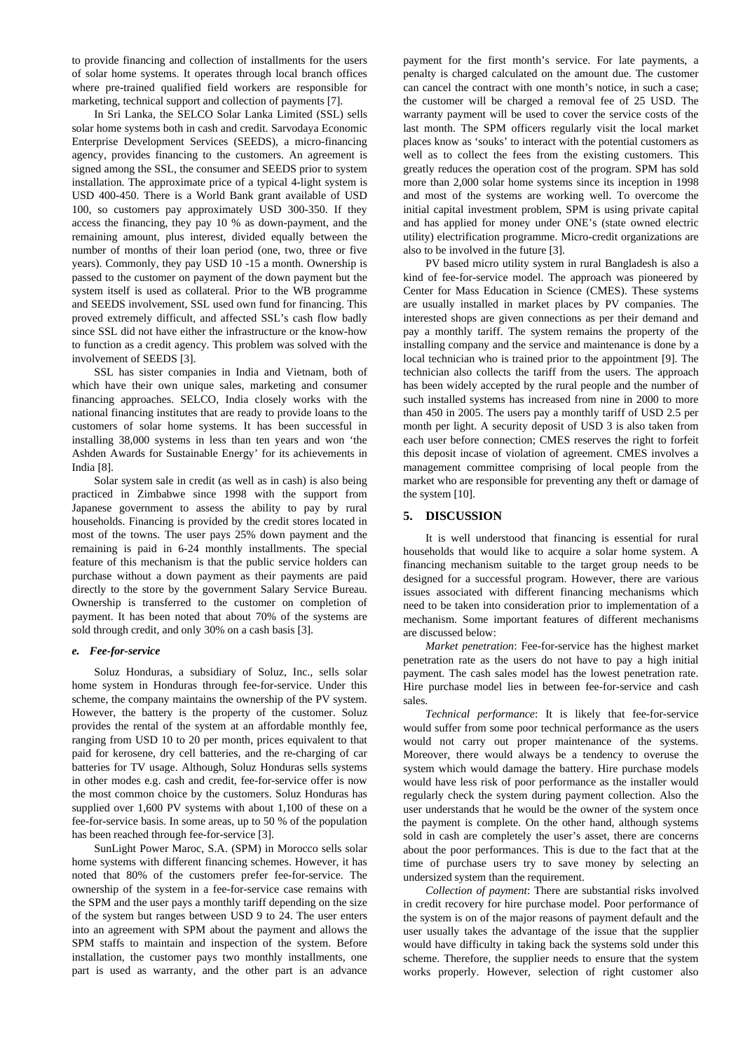to provide financing and collection of installments for the users of solar home systems. It operates through local branch offices where pre-trained qualified field workers are responsible for marketing, technical support and collection of payments [7].

In Sri Lanka, the SELCO Solar Lanka Limited (SSL) sells solar home systems both in cash and credit. Sarvodaya Economic Enterprise Development Services (SEEDS), a micro-financing agency, provides financing to the customers. An agreement is signed among the SSL, the consumer and SEEDS prior to system installation. The approximate price of a typical 4-light system is USD 400-450. There is a World Bank grant available of USD 100, so customers pay approximately USD 300-350. If they access the financing, they pay 10 % as down-payment, and the remaining amount, plus interest, divided equally between the number of months of their loan period (one, two, three or five years). Commonly, they pay USD 10 -15 a month. Ownership is passed to the customer on payment of the down payment but the system itself is used as collateral. Prior to the WB programme and SEEDS involvement, SSL used own fund for financing. This proved extremely difficult, and affected SSL's cash flow badly since SSL did not have either the infrastructure or the know-how to function as a credit agency. This problem was solved with the involvement of SEEDS [3].

SSL has sister companies in India and Vietnam, both of which have their own unique sales, marketing and consumer financing approaches. SELCO, India closely works with the national financing institutes that are ready to provide loans to the customers of solar home systems. It has been successful in installing 38,000 systems in less than ten years and won 'the Ashden Awards for Sustainable Energy' for its achievements in India [8].

Solar system sale in credit (as well as in cash) is also being practiced in Zimbabwe since 1998 with the support from Japanese government to assess the ability to pay by rural households. Financing is provided by the credit stores located in most of the towns. The user pays 25% down payment and the remaining is paid in 6-24 monthly installments. The special feature of this mechanism is that the public service holders can purchase without a down payment as their payments are paid directly to the store by the government Salary Service Bureau. Ownership is transferred to the customer on completion of payment. It has been noted that about 70% of the systems are sold through credit, and only 30% on a cash basis [3].

### *e. Fee-for-service*

Soluz Honduras, a subsidiary of Soluz, Inc., sells solar home system in Honduras through fee-for-service. Under this scheme, the company maintains the ownership of the PV system. However, the battery is the property of the customer. Soluz provides the rental of the system at an affordable monthly fee, ranging from USD 10 to 20 per month, prices equivalent to that paid for kerosene, dry cell batteries, and the re-charging of car batteries for TV usage. Although, Soluz Honduras sells systems in other modes e.g. cash and credit, fee-for-service offer is now the most common choice by the customers. Soluz Honduras has supplied over 1,600 PV systems with about 1,100 of these on a fee-for-service basis. In some areas, up to 50 % of the population has been reached through fee-for-service [3].

SunLight Power Maroc, S.A. (SPM) in Morocco sells solar home systems with different financing schemes. However, it has noted that 80% of the customers prefer fee-for-service. The ownership of the system in a fee-for-service case remains with the SPM and the user pays a monthly tariff depending on the size of the system but ranges between USD 9 to 24. The user enters into an agreement with SPM about the payment and allows the SPM staffs to maintain and inspection of the system. Before installation, the customer pays two monthly installments, one part is used as warranty, and the other part is an advance

payment for the first month's service. For late payments, a penalty is charged calculated on the amount due. The customer can cancel the contract with one month's notice, in such a case; the customer will be charged a removal fee of 25 USD. The warranty payment will be used to cover the service costs of the last month. The SPM officers regularly visit the local market places know as 'souks' to interact with the potential customers as well as to collect the fees from the existing customers. This greatly reduces the operation cost of the program. SPM has sold more than 2,000 solar home systems since its inception in 1998 and most of the systems are working well. To overcome the initial capital investment problem, SPM is using private capital and has applied for money under ONE's (state owned electric utility) electrification programme. Micro-credit organizations are also to be involved in the future [3].

PV based micro utility system in rural Bangladesh is also a kind of fee-for-service model. The approach was pioneered by Center for Mass Education in Science (CMES). These systems are usually installed in market places by PV companies. The interested shops are given connections as per their demand and pay a monthly tariff. The system remains the property of the installing company and the service and maintenance is done by a local technician who is trained prior to the appointment [9]. The technician also collects the tariff from the users. The approach has been widely accepted by the rural people and the number of such installed systems has increased from nine in 2000 to more than 450 in 2005. The users pay a monthly tariff of USD 2.5 per month per light. A security deposit of USD 3 is also taken from each user before connection; CMES reserves the right to forfeit this deposit incase of violation of agreement. CMES involves a management committee comprising of local people from the market who are responsible for preventing any theft or damage of the system [10].

## **5. DISCUSSION**

It is well understood that financing is essential for rural households that would like to acquire a solar home system. A financing mechanism suitable to the target group needs to be designed for a successful program. However, there are various issues associated with different financing mechanisms which need to be taken into consideration prior to implementation of a mechanism. Some important features of different mechanisms are discussed below:

*Market penetration*: Fee-for-service has the highest market penetration rate as the users do not have to pay a high initial payment. The cash sales model has the lowest penetration rate. Hire purchase model lies in between fee-for-service and cash sales.

*Technical performance*: It is likely that fee-for-service would suffer from some poor technical performance as the users would not carry out proper maintenance of the systems. Moreover, there would always be a tendency to overuse the system which would damage the battery. Hire purchase models would have less risk of poor performance as the installer would regularly check the system during payment collection. Also the user understands that he would be the owner of the system once the payment is complete. On the other hand, although systems sold in cash are completely the user's asset, there are concerns about the poor performances. This is due to the fact that at the time of purchase users try to save money by selecting an undersized system than the requirement.

*Collection of payment*: There are substantial risks involved in credit recovery for hire purchase model. Poor performance of the system is on of the major reasons of payment default and the user usually takes the advantage of the issue that the supplier would have difficulty in taking back the systems sold under this scheme. Therefore, the supplier needs to ensure that the system works properly. However, selection of right customer also